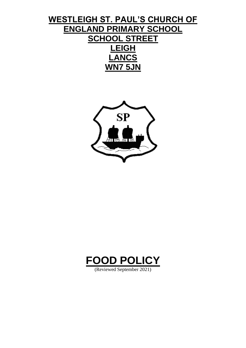# **WESTLEIGH ST. PAUL'S CHURCH OF ENGLAND PRIMARY SCHOOL SCHOOL STREET LEIGH LANCS WN7 5JN**





(Reviewed September 2021)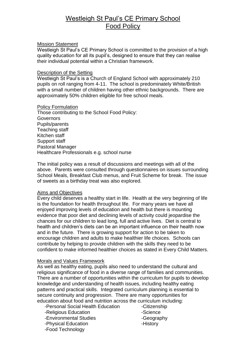# Westleigh St Paul's CE Primary School Food Policy

# Mission Statement

Westleigh St Paul's CE Primary School is committed to the provision of a high quality education for all its pupil's, designed to ensure that they can realise their individual potential within a Christian framework.

#### Description of the Setting

Westleigh St Paul's is a Church of England School with approximately 210 pupils on roll ranging from 4-11. The school is predominately White/British with a small number of children having other ethnic backgrounds. There are approximately 50% children eligible for free school meals.

# Policy Formulation

Those contributing to the School Food Policy: Governors Pupils/parents Teaching staff Kitchen staff Support staff Pastoral Manager Healthcare Professionals e.g. school nurse

The initial policy was a result of discussions and meetings with all of the above. Parents were consulted through questionnaires on issues surrounding School Meals, Breakfast Club menus, and Fruit Scheme for break. The issue of sweets as a birthday treat was also explored.

#### Aims and Objectives

Every child deserves a healthy start in life. Health at the very beginning of life is the foundation for health throughout life. For many years we have all enjoyed improving levels of education and health but there is mounting evidence that poor diet and declining levels of activity could jeopardise the chances for our children to lead long, full and active lives. Diet is central to health and children's diets can be an important influence on their health now and in the future. There is growing support for action to be taken to encourage children and adults to make healthier life choices. Schools can contribute by helping to provide children with the skills they need to be confident to make informed healthier choices as stated in Every Child Matters.

# Morals and Values Framework

As well as healthy eating, pupils also need to understand the cultural and religious significance of food in a diverse range of families and communities. There are a number of opportunities within the curriculum for pupils to develop knowledge and understanding of health issues, including healthy eating patterns and practical skills. Integrated curriculum planning is essential to secure continuity and progression. There are many opportunities for education about food and nutrition across the curriculum including:

- -Personal Social Health Education -Citizenship
- -Religious Education **-Science**
- -Environmental Studies **-Geography**
- -Physical Education **-History**
- -Food Technology
- 
-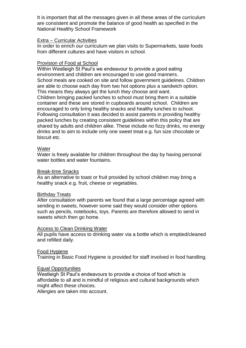It is important that all the messages given in all these areas of the curriculum are consistent and promote the balance of good health as specified in the National Healthy School Framework

# Extra – Curricular Activities

In order to enrich our curriculum we plan visits to Supermarkets, taste foods from different cultures and have visitors in school.

# Provision of Food at School

Within Westleigh St Paul's we endeavour to provide a good eating environment and children are encouraged to use good manners. School meals are cooked on site and follow government guidelines. Children are able to choose each day from two hot options plus a sandwich option. This means they always get the lunch they choose and want. Children bringing packed lunches to school must bring them in a suitable container and these are stored in cupboards around school. Children are encouraged to only bring healthy snacks and healthy lunches to school. Following consultation it was decided to assist parents in providing healthy packed lunches by creating consistent guidelines within this policy that are shared by adults and children alike. These include no fizzy drinks, no energy drinks and to aim to include only one sweet treat e.g. fun size chocolate or biscuit etc.

# **Water**

Water is freely available for children throughout the day by having personal water bottles and water fountains.

# Break-time Snacks

As an alternative to toast or fruit provided by school children may bring a healthy snack e.g. fruit, cheese or vegetables.

#### Birthday Treats

After consultation with parents we found that a large percentage agreed with sending in sweets, however some said they would consider other options such as pencils, notebooks, toys. Parents are therefore allowed to send in sweets which then go home.

#### Access to Clean Drinking Water

All pupils have access to drinking water via a bottle which is emptied/cleaned and refilled daily.

# Food Hygiene

Training in Basic Food Hygiene is provided for staff involved in food handling.

#### Equal Opportunities

Westleigh St Paul's endeavours to provide a choice of food which is affordable to all and is mindful of religious and cultural backgrounds which might affect these choices.

Allergies are taken into account.